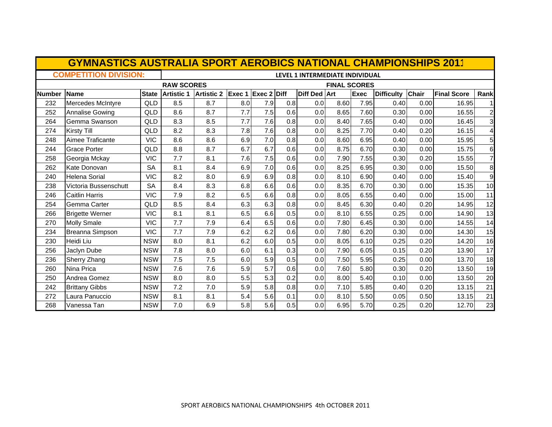|               | <b>GYMNASTICS AUSTRALIA SPORT AEROBICS NATIONAL CHAMPIONSHIPS 2011</b> |              |                                          |                   |                           |     |     |              |      |             |                   |              |                    |                |
|---------------|------------------------------------------------------------------------|--------------|------------------------------------------|-------------------|---------------------------|-----|-----|--------------|------|-------------|-------------------|--------------|--------------------|----------------|
|               | <b>COMPETITION DIVISION:</b>                                           |              | LEVEL 1 INTERMEDIATE INDIVIDUAL          |                   |                           |     |     |              |      |             |                   |              |                    |                |
|               |                                                                        |              | <b>RAW SCORES</b><br><b>FINAL SCORES</b> |                   |                           |     |     |              |      |             |                   |              |                    |                |
| <b>Number</b> | Name                                                                   | <b>State</b> | <b>Artistic 1</b>                        | <b>Artistic 2</b> | <b>Exec 1 Exec 2 Diff</b> |     |     | Diff Ded Art |      | <b>Exec</b> | <b>Difficulty</b> | <b>Chair</b> | <b>Final Score</b> | Rank           |
| 232           | Mercedes McIntyre                                                      | QLD          | 8.5                                      | 8.7               | 8.0                       | 7.9 | 0.8 | 0.0          | 8.60 | 7.95        | 0.40              | 0.00         | 16.95              |                |
| 252           | <b>Annalise Gowing</b>                                                 | QLD          | 8.6                                      | 8.7               | 7.7                       | 7.5 | 0.6 | 0.0          | 8.65 | 7.60        | 0.30              | 0.00         | 16.55              | 2              |
| 264           | Gemma Swanson                                                          | QLD          | 8.3                                      | 8.5               | 7.7                       | 7.6 | 0.8 | 0.0          | 8.40 | 7.65        | 0.40              | 0.00         | 16.45              | 3              |
| 274           | <b>Kirsty Till</b>                                                     | QLD          | 8.2                                      | 8.3               | 7.8                       | 7.6 | 0.8 | 0.0          | 8.25 | 7.70        | 0.40              | 0.20         | 16.15              | 4              |
| 248           | Aimee Traficante                                                       | <b>VIC</b>   | 8.6                                      | 8.6               | 6.9                       | 7.0 | 0.8 | 0.0          | 8.60 | 6.95        | 0.40              | 0.00         | 15.95              | 5              |
| 244           | <b>Grace Porter</b>                                                    | QLD          | 8.8                                      | 8.7               | 6.7                       | 6.7 | 0.6 | 0.0          | 8.75 | 6.70        | 0.30              | 0.00         | 15.75              | 6              |
| 258           | Georgia Mckay                                                          | <b>VIC</b>   | 7.7                                      | 8.1               | 7.6                       | 7.5 | 0.6 | 0.0          | 7.90 | 7.55        | 0.30              | 0.20         | 15.55              | $\overline{7}$ |
| 262           | Kate Donovan                                                           | <b>SA</b>    | 8.1                                      | 8.4               | 6.9                       | 7.0 | 0.6 | 0.0          | 8.25 | 6.95        | 0.30              | 0.00         | 15.50              | 8              |
| 240           | <b>Helena Sorial</b>                                                   | <b>VIC</b>   | 8.2                                      | 8.0               | 6.9                       | 6.9 | 0.8 | 0.0          | 8.10 | 6.90        | 0.40              | 0.00         | 15.40              | 9              |
| 238           | Victoria Bussenschutt                                                  | <b>SA</b>    | 8.4                                      | 8.3               | 6.8                       | 6.6 | 0.6 | 0.0          | 8.35 | 6.70        | 0.30              | 0.00         | 15.35              | 10             |
| 246           | <b>Caitlin Harris</b>                                                  | <b>VIC</b>   | 7.9                                      | 8.2               | 6.5                       | 6.6 | 0.8 | 0.0          | 8.05 | 6.55        | 0.40              | 0.00         | 15.00              | 11             |
| 254           | Gemma Carter                                                           | QLD          | 8.5                                      | 8.4               | 6.3                       | 6.3 | 0.8 | 0.0          | 8.45 | 6.30        | 0.40              | 0.20         | 14.95              | 12             |
| 266           | <b>Brigette Werner</b>                                                 | <b>VIC</b>   | 8.1                                      | 8.1               | 6.5                       | 6.6 | 0.5 | 0.0          | 8.10 | 6.55        | 0.25              | 0.00         | 14.90              | 13             |
| 270           | <b>Molly Smale</b>                                                     | <b>VIC</b>   | 7.7                                      | 7.9               | 6.4                       | 6.5 | 0.6 | 0.0          | 7.80 | 6.45        | 0.30              | 0.00         | 14.55              | 14             |
| 234           | Breanna Simpson                                                        | <b>VIC</b>   | 7.7                                      | 7.9               | 6.2                       | 6.2 | 0.6 | 0.0          | 7.80 | 6.20        | 0.30              | 0.00         | 14.30              | 15             |
| 230           | Heidi Liu                                                              | <b>NSW</b>   | 8.0                                      | 8.1               | 6.2                       | 6.0 | 0.5 | 0.0          | 8.05 | 6.10        | 0.25              | 0.20         | 14.20              | 16             |
| 256           | Jaclyn Dube                                                            | <b>NSW</b>   | 7.8                                      | 8.0               | 6.0                       | 6.1 | 0.3 | 0.0          | 7.90 | 6.05        | 0.15              | 0.20         | 13.90              | 17             |
| 236           | <b>Sherry Zhang</b>                                                    | <b>NSW</b>   | 7.5                                      | 7.5               | 6.0                       | 5.9 | 0.5 | 0.0          | 7.50 | 5.95        | 0.25              | 0.00         | 13.70              | 18             |
| 260           | Nina Prica                                                             | <b>NSW</b>   | 7.6                                      | 7.6               | 5.9                       | 5.7 | 0.6 | 0.0          | 7.60 | 5.80        | 0.30              | 0.20         | 13.50              | 19             |
| 250           | Andrea Gomez                                                           | <b>NSW</b>   | 8.0                                      | 8.0               | 5.5                       | 5.3 | 0.2 | 0.0          | 8.00 | 5.40        | 0.10              | 0.00         | 13.50              | 20             |
| 242           | <b>Brittany Gibbs</b>                                                  | <b>NSW</b>   | 7.2                                      | 7.0               | 5.9                       | 5.8 | 0.8 | 0.0          | 7.10 | 5.85        | 0.40              | 0.20         | 13.15              | 21             |
| 272           | Laura Panuccio                                                         | <b>NSW</b>   | 8.1                                      | 8.1               | 5.4                       | 5.6 | 0.1 | 0.0          | 8.10 | 5.50        | 0.05              | 0.50         | 13.15              | 21             |
| 268           | Vanessa Tan                                                            | <b>NSW</b>   | 7.0                                      | 6.9               | 5.8                       | 5.6 | 0.5 | 0.0          | 6.95 | 5.70        | 0.25              | 0.20         | 12.70              | 23             |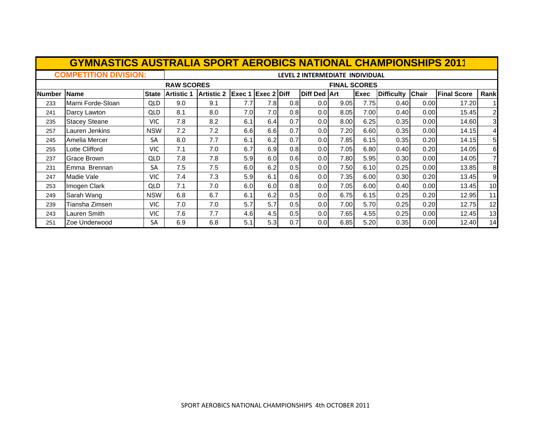|               | <b>GYMNASTICS AUSTRALIA SPORT AEROBICS NATIONAL CHAMPIONSHIPS 2011</b> |              |                                          |                   |      |                           |                  |                     |      |             |                   |              |                    |                         |
|---------------|------------------------------------------------------------------------|--------------|------------------------------------------|-------------------|------|---------------------------|------------------|---------------------|------|-------------|-------------------|--------------|--------------------|-------------------------|
|               | <b>COMPETITION DIVISION:</b>                                           |              | LEVEL 2 INTERMEDIATE INDIVIDUAL          |                   |      |                           |                  |                     |      |             |                   |              |                    |                         |
|               |                                                                        |              | <b>RAW SCORES</b><br><b>FINAL SCORES</b> |                   |      |                           |                  |                     |      |             |                   |              |                    |                         |
| <b>Number</b> | Name                                                                   | <b>State</b> | <b>Artistic 1</b>                        | <b>Artistic 2</b> |      | <b>Exec 1 Exec 2 Diff</b> |                  | <b>Diff Ded Art</b> |      | <b>Exec</b> | <b>Difficulty</b> | <b>Chair</b> | <b>Final Score</b> | Rank                    |
| 233           | Marni Forde-Sloan                                                      | <b>QLD</b>   | 9.0                                      | 9.1               | 7.7  | 7.8                       | 0.8              | 0.0                 | 9.05 | 7.75        | 0.40              | 0.00         | 17.20              | 11                      |
| 241           | Darcy Lawton                                                           | <b>QLD</b>   | 8.1                                      | 8.0               | 7.0I | 7.0                       | 0.8              | 0.0                 | 8.05 | 7.00        | 0.40              | 0.00         | 15.45              | 2                       |
| 235           | <b>Stacey Steane</b>                                                   | <b>VIC</b>   | 7.8                                      | 8.2               | 6.1  | 6.4                       | 0.7              | 0.0                 | 8.00 | 6.25        | 0.35              | 0.00         | 14.60              | $\overline{\mathbf{3}}$ |
| 257           | Lauren Jenkins                                                         | <b>NSW</b>   | 7.2                                      | 7.2               | 6.6  | 6.6                       | 0.7              | 0.0                 | 7.20 | 6.60        | 0.35              | 0.00         | 14.15              | 41                      |
| 245           | Amelia Mercer                                                          | <b>SA</b>    | 8.0                                      | 7.7               | 6.1  | 6.2                       | 0.7              | 0.0                 | 7.85 | 6.15        | 0.35              | 0.20         | 14.15              | $5 \mid$                |
| 255           | Lotte Clifford                                                         | <b>VIC</b>   | 7.1                                      | 7.0               | 6.7  | 6.9                       | 0.8              | 0.0                 | 7.05 | 6.80        | 0.40              | 0.20         | 14.05              | 6                       |
| 237           | Grace Brown                                                            | <b>QLD</b>   | 7.8                                      | 7.8               | 5.9  | 6.0                       | 0.6 <sub>l</sub> | 0.0                 | 7.80 | 5.95        | 0.30              | 0.00         | 14.05              | 7                       |
| 231           | Emma Brennan                                                           | <b>SA</b>    | 7.5                                      | 7.5               | 6.0  | 6.2                       | 0.5              | 0.0                 | 7.50 | 6.10        | 0.25              | 0.00         | 13.85              | 8 <sup>1</sup>          |
| 247           | Madie Vale                                                             | VIC          | 7.4                                      | 7.3               | 5.9  | 6.1                       | 0.6              | 0.0                 | 7.35 | 6.00        | 0.30              | 0.20         | 13.45              | $\overline{9}$          |
| 253           | Imogen Clark                                                           | <b>QLD</b>   | 7.1                                      | 7.0               | 6.0  | 6.0                       | 0.8              | 0.0                 | 7.05 | 6.00        | 0.40              | 0.00         | 13.45              | 10                      |
| 249           | Sarah Wang                                                             | <b>NSW</b>   | 6.8                                      | 6.7               | 6.1  | 6.2                       | 0.5              | 0.0                 | 6.75 | 6.15        | 0.25              | 0.20         | 12.95              | 11                      |
| 239           | Tiansha Zimsen                                                         | <b>VIC</b>   | 7.0                                      | 7.0               | 5.7  | 5.7                       | 0.5              | 0.0                 | 7.00 | 5.70        | 0.25              | 0.20         | 12.75              | 12                      |
| 243           | Lauren Smith                                                           | <b>VIC</b>   | 7.6                                      | 7.7               | 4.6  | 4.5                       | 0.5              | 0.0                 | 7.65 | 4.55        | 0.25              | 0.00         | 12.45              | 13                      |
| 251           | Zoe Underwood                                                          | <b>SA</b>    | 6.9                                      | 6.8               | 5.1  | 5.3                       | 0.7              | 0.0                 | 6.85 | 5.20        | 0.35              | 0.00         | 12.40              | 14                      |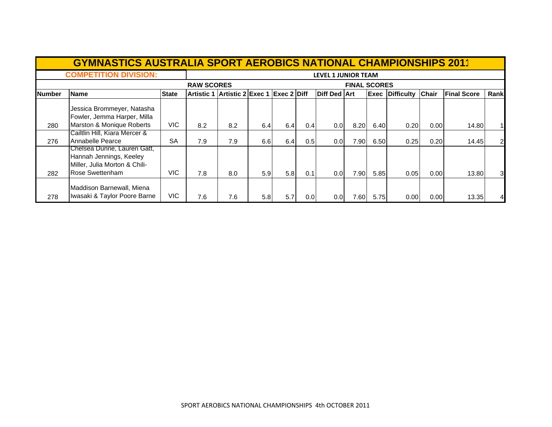|               | <b>GYMNASTICS AUSTRALIA SPORT AEROBICS NATIONAL CHAMPIONSHIPS 2011</b>                                            |              |                                          |                                          |                  |     |     |                     |       |      |                        |              |                    |                |  |
|---------------|-------------------------------------------------------------------------------------------------------------------|--------------|------------------------------------------|------------------------------------------|------------------|-----|-----|---------------------|-------|------|------------------------|--------------|--------------------|----------------|--|
|               | <b>COMPETITION DIVISION:</b>                                                                                      |              | <b>LEVEL 1 JUNIOR TEAM</b>               |                                          |                  |     |     |                     |       |      |                        |              |                    |                |  |
|               |                                                                                                                   |              | <b>RAW SCORES</b><br><b>FINAL SCORES</b> |                                          |                  |     |     |                     |       |      |                        |              |                    |                |  |
| <b>Number</b> | <b>Name</b>                                                                                                       | <b>State</b> |                                          | Artistic 1 Artistic 2 Exec 1 Exec 2 Diff |                  |     |     | <b>Diff Ded Art</b> |       |      | <b>Exec Difficulty</b> | <b>Chair</b> | <b>Final Score</b> | Rank           |  |
|               | Jessica Brommeyer, Natasha<br>Fowler, Jemma Harper, Milla                                                         |              |                                          |                                          |                  |     |     |                     |       |      |                        |              |                    |                |  |
| 280           | Marston & Monique Roberts                                                                                         | VIC.         | 8.2                                      | 8.2                                      | 6.4              | 6.4 | 0.4 | 0.01                | 8.20  | 6.40 | 0.20                   | 0.00         | 14.80              |                |  |
| 276           | Cailtlin Hill, Kiara Mercer &<br>Annabelle Pearce                                                                 | <b>SA</b>    | 7.9                                      | 7.9                                      | 6.6              | 6.4 | 0.5 | 0.01                | 7.90  | 6.50 | 0.25                   | 0.20         | 14.45              | $\overline{2}$ |  |
| 282           | Chelsea Dunne, Lauren Gatt,<br>Hannah Jennings, Keeley<br>Miller, Julia Morton & Chili-<br><b>Rose Swettenham</b> | VIC.         | 7.8                                      | 8.0                                      | 5.9              | 5.8 | 0.1 | 0.01                | 7.90  | 5.85 | 0.05                   | 0.00         | 13.80              | 3              |  |
| 278           | Maddison Barnewall, Miena<br>Iwasaki & Taylor Poore Barne                                                         | VIC.         | 7.6                                      | 7.6                                      | 5.8 <sub>1</sub> | 5.7 | 0.0 | 0.0 <sub>l</sub>    | 7.601 | 5.75 | 0.00                   | 0.00         | 13.35              | 4              |  |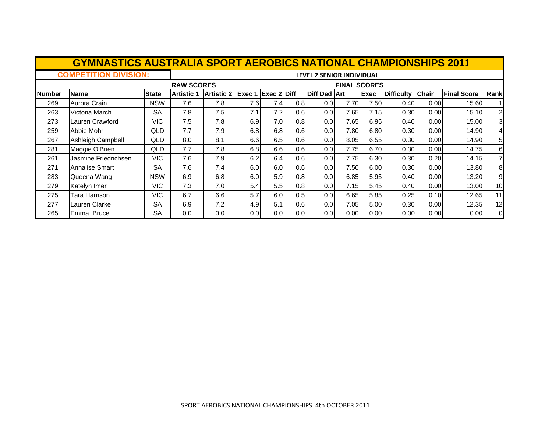|               | <b>GYMNASTICS AUSTRALIA SPORT AEROBICS NATIONAL CHAMPIONSHIPS 2011</b> |              |                   |                                          |     |                           |     |                     |       |             |                   |              |                    |                |  |
|---------------|------------------------------------------------------------------------|--------------|-------------------|------------------------------------------|-----|---------------------------|-----|---------------------|-------|-------------|-------------------|--------------|--------------------|----------------|--|
|               | <b>COMPETITION DIVISION:</b>                                           |              |                   | <b>LEVEL 2 SENIOR INDIVIDUAL</b>         |     |                           |     |                     |       |             |                   |              |                    |                |  |
|               |                                                                        |              |                   | <b>RAW SCORES</b><br><b>FINAL SCORES</b> |     |                           |     |                     |       |             |                   |              |                    |                |  |
| <b>Number</b> | <b>Name</b>                                                            | <b>State</b> | <b>Artistic 1</b> | <b>Artistic 2</b>                        |     | <b>Exec 1 Exec 2 Diff</b> |     | <b>Diff Ded Art</b> |       | <b>Exec</b> | <b>Difficulty</b> | <b>Chair</b> | <b>Final Score</b> | Rank           |  |
| 269           | Aurora Crain                                                           | <b>NSW</b>   | 7.6               | 7.8                                      | 7.6 | 7.4                       | 0.8 | 0.01                | 7.70  | 7.50        | 0.40              | 0.00         | 15.60              |                |  |
| 263           | Victoria March                                                         | <b>SA</b>    | 7.8               | 7.5                                      | 7.1 | 7.2                       | 0.6 | 0.0 <sub>1</sub>    | 7.65  | 7.15        | 0.30              | 0.00         | 15.10              | $\overline{a}$ |  |
| 273           | Lauren Crawford                                                        | VIC          | 7.5               | 7.8                                      | 6.9 | 7.0 <sub>l</sub>          | 0.8 | 0.0                 | 7.65  | 6.95        | 0.40              | 0.00         | 15.00              | 3              |  |
| 259           | Abbie Mohr                                                             | QLD          | 7.7               | 7.9                                      | 6.8 | 6.8                       | 0.6 | 0.0                 | 7.80  | 6.80        | 0.30              | 0.00         | 14.90              | 4              |  |
| 267           | Ashleigh Campbell                                                      | QLD          | 8.0               | 8.1                                      | 6.6 | 6.5                       | 0.6 | 0.0                 | 8.05  | 6.55        | 0.30              | 0.00         | 14.90              | 5              |  |
| 281           | Maggie O'Brien                                                         | QLD          | 7.7               | 7.8                                      | 6.8 | 6.6                       | 0.6 | 0.0 <sub>1</sub>    | 7.75  | 6.70        | 0.30              | 0.00         | 14.75              | 6              |  |
| 261           | Jasmine Friedrichsen                                                   | VIC.         | 7.6               | 7.9                                      | 6.2 | 6.4                       | 0.6 | 0.0                 | 7.75  | 6.30        | 0.30              | 0.20         | 14.15              | 7              |  |
| 271           | <b>Annalise Smart</b>                                                  | <b>SA</b>    | 7.6               | 7.4                                      | 6.0 | 6.0                       | 0.6 | 0.0 <sub>l</sub>    | 7.50  | 6.00        | 0.30              | 0.00         | 13.80              | 8              |  |
| 283           | Queena Wang                                                            | <b>NSW</b>   | 6.9               | 6.8                                      | 6.0 | 5.9                       | 0.8 | 0.0 <sub>l</sub>    | 6.85  | 5.95        | 0.40              | 0.00         | 13.20              | 9              |  |
| 279           | Katelyn Imer                                                           | VIC.         | 7.3               | 7.0                                      | 5.4 | 5.5 <sub>1</sub>          | 0.8 | 0.0 <sub>1</sub>    | 7.15I | 5.45        | 0.40              | 0.00         | 13.00              | 10             |  |
| 275           | Tara Harrison                                                          | VIC.         | 6.7               | 6.6                                      | 5.7 | 6.0                       | 0.5 | 0.0                 | 6.65  | 5.85        | 0.25              | 0.10         | 12.65              | 11             |  |
| 277           | Lauren Clarke                                                          | <b>SA</b>    | 6.9               | 7.2                                      | 4.9 | 5.1                       | 0.6 | 0.01                | 7.05  | 5.00        | 0.30              | 0.00         | 12.35              | 12             |  |
| 265           | <del>Emma Bruce</del>                                                  | <b>SA</b>    | 0.0               | 0.0                                      | 0.0 | 0.0 <sub>l</sub>          | 0.0 | 0.0                 | 0.00  | 0.00        | 0.00              | 0.00         | 0.00               | $\Omega$       |  |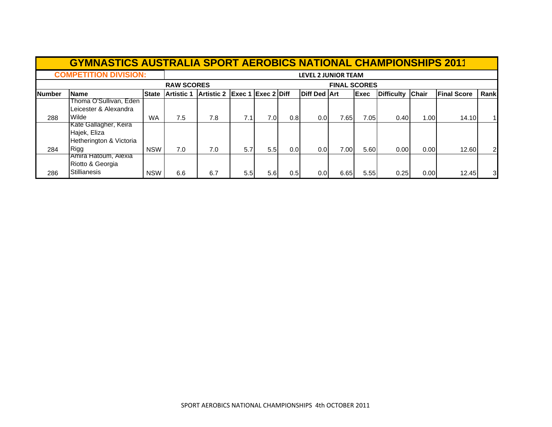|        | <b>GYMNASTICS AUSTRALIA SPORT AEROBICS NATIONAL CHAMPIONSHIPS 2011</b> |              |                            |                                          |     |     |     |                     |      |              |                   |              |                    |      |
|--------|------------------------------------------------------------------------|--------------|----------------------------|------------------------------------------|-----|-----|-----|---------------------|------|--------------|-------------------|--------------|--------------------|------|
|        | <b>COMPETITION DIVISION:</b>                                           |              | <b>LEVEL 2 JUNIOR TEAM</b> |                                          |     |     |     |                     |      |              |                   |              |                    |      |
|        |                                                                        |              |                            | <b>FINAL SCORES</b><br><b>RAW SCORES</b> |     |     |     |                     |      |              |                   |              |                    |      |
| Number | <b>Name</b>                                                            | <b>State</b> | <b>Artistic 1</b>          | Artistic 2 Exec 1 Exec 2 Diff            |     |     |     | <b>Diff Ded Art</b> |      | <b>IExec</b> | <b>Difficulty</b> | <b>Chair</b> | <b>Final Score</b> | Rank |
|        | Thoma O'Sullivan, Eden<br>Leicester & Alexandra                        |              |                            |                                          |     |     |     |                     |      |              |                   |              |                    |      |
| 288    | Wilde                                                                  | <b>WA</b>    | 7.5                        | 7.8                                      | 7.1 | 7.0 | 0.8 | 0.01                | 7.65 | 7.05         | 0.40              | 1.00         | 14.10              |      |
|        | Kate Gallagher, Keira<br>Hajek, Eliza<br>Hetherington & Victoria       |              |                            |                                          |     |     |     |                     |      |              |                   |              |                    |      |
| 284    | Rigg                                                                   | <b>NSW</b>   | 7.0                        | 7.0                                      | 5.7 | 5.5 | 0.0 | 0.01                | 7.00 | 5.60         | 0.00              | 0.00         | 12.60              | 21   |
| 286    | TAmira Hatoum, Alexia<br>Riotto & Georgia<br><b>Stillianesis</b>       | <b>NSW</b>   | 6.6                        | 6.7                                      | 5.5 | 5.6 | 0.5 | 0.0                 | 6.65 | 5.55         | 0.25              | 0.001        | 12.45              | 31   |